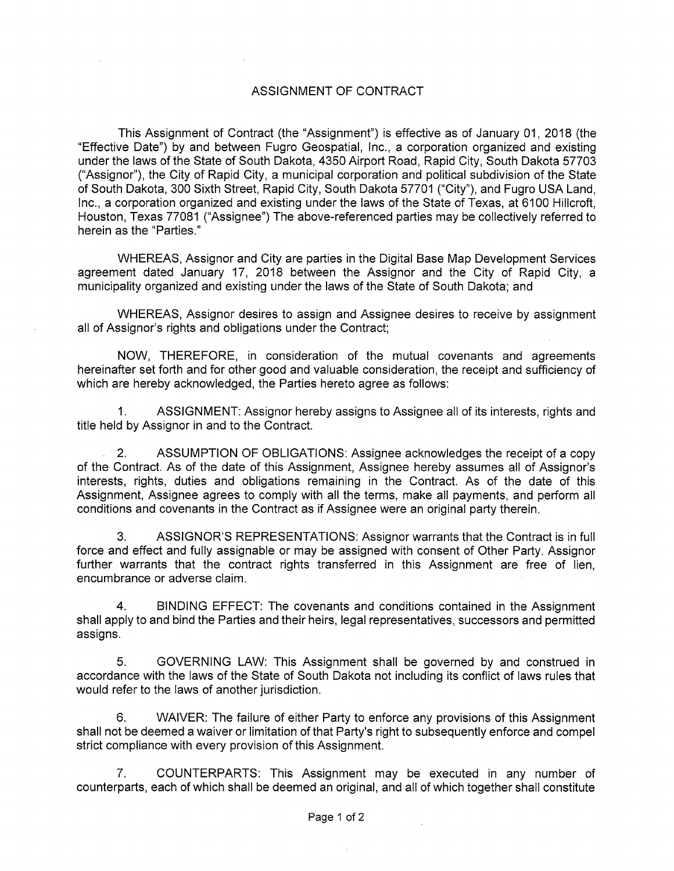## ASSIGNMENT OF CONTRACT

This Assignment of Contract (the "Assignment") is effective as of January 01, 2018 (the "Effective Date") by and between Fugro Geospatial, Inc., a corporation organized and existing under the laws of the State of South Dakota, 4350 Airport Road, Rapid City, South Dakota 57703 ("Assignor"), the City of Rapid City, a municipal corporation and political subdivision of the State of South Dakota, 300 Sixth Street, Rapid City, South Dakota 57701 ("City"), and Fugro USA Land, Inc., a corporation organized and existing under the laws of the State of Texas, at 6100 Hillcroft, Houston, Texas 77081 ("Assignee") The above-referenced parties may be collectively referred to herein as the "Parties."

WHEREAS, Assignor and City are parties in the Digital Base Map Development Services agreement dated January 17, 2018 between the Assignor and the City of Rapid City, a municipality organized and existing under the laws of the State of South Dakota; and

WHEREAS, Assignor desires to assign and Assignee desires to receive by assignment all of Assignor's rights and obligations under the Contract;

NOW, THEREFORE, in consideration of the mutual covenants and agreements hereinafter set forth and for other good and valuable consideration, the receipt and sufficiency of which are hereby acknowledged, the Parties hereto agree as follows:

1. ASSIGNMENT: Assignor hereby assigns to Assignee all of its interests, rights and title held by Assignor in and to the Contract.

2. ASSUMPTION OF OBLIGATIONS: Assignee acknowledges the receipt of a copy of the Contract. As of the date of this Assignment, Assignee hereby assumes all of Assignor's interests, rights, duties and obligations remaining in the Contract. As of the date of this Assignment, Assignee agrees to comply with all the terms, make all payments, and perform all conditions and covenants in the Contract as if Assignee were an original party therein.

3. ASSIGNOR'S REPRESENTATIONS: Assignor warrants that the Contract is in full force and effect and fully assignable or may be assigned with consent of Other Party. Assignor further warrants that the contract rights transferred in this Assignment are free of lien, encumbrance or adverse claim.

4. BINDING EFFECT: The covenants and conditions contained in the Assignment shall apply to and bind the Parties and their heirs, legal representatives, successors and permitted assigns.

5. GOVERNING LAW: This Assignment shall be governed by and construed in accordance with the laws of the State of South Dakota not including its conflict of laws rules that would refer to the laws of another jurisdiction.

6. WAIVER: The failure of either Party to enforce any provisions of this Assignment shall not be deemed a waiver or limitation of that Party's right to subsequently enforce and compel strict compliance with every provision of this Assignment.

7. COUNTERPARTS: This Assignment may be executed in any number of counterparts, each of which shall be deemed an original, and all of which together shall constitute